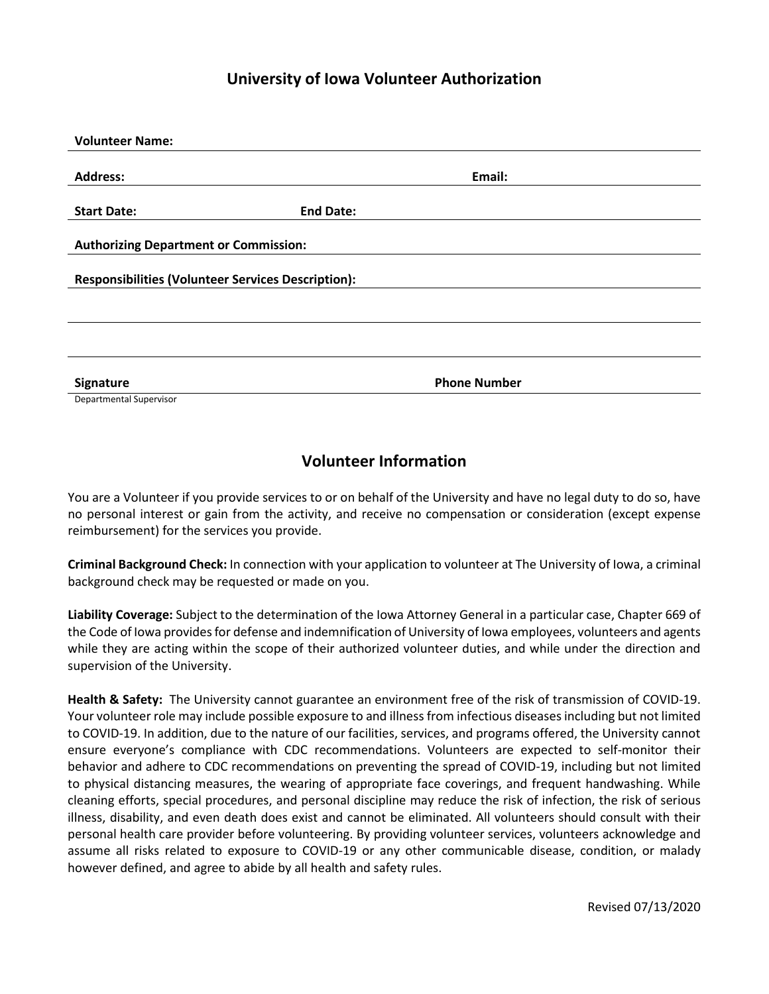## **University of Iowa Volunteer Authorization**

| <b>Volunteer Name:</b>                                    |                  |                     |
|-----------------------------------------------------------|------------------|---------------------|
|                                                           |                  |                     |
| <b>Address:</b>                                           |                  | Email:              |
|                                                           |                  |                     |
| <b>Start Date:</b>                                        | <b>End Date:</b> |                     |
|                                                           |                  |                     |
| <b>Authorizing Department or Commission:</b>              |                  |                     |
|                                                           |                  |                     |
| <b>Responsibilities (Volunteer Services Description):</b> |                  |                     |
|                                                           |                  |                     |
|                                                           |                  |                     |
|                                                           |                  |                     |
|                                                           |                  |                     |
|                                                           |                  |                     |
| Signature                                                 |                  | <b>Phone Number</b> |
| Departmental Supervisor                                   |                  |                     |

## **Volunteer Information**

You are a Volunteer if you provide services to or on behalf of the University and have no legal duty to do so, have no personal interest or gain from the activity, and receive no compensation or consideration (except expense reimbursement) for the services you provide.

**Criminal Background Check:** In connection with your application to volunteer at The University of Iowa, a criminal background check may be requested or made on you.

**Liability Coverage:** Subject to the determination of the Iowa Attorney General in a particular case, Chapter 669 of the Code of Iowa provides for defense and indemnification of University of Iowa employees, volunteers and agents while they are acting within the scope of their authorized volunteer duties, and while under the direction and supervision of the University.

**Health & Safety:** The University cannot guarantee an environment free of the risk of transmission of COVID-19. Your volunteer role may include possible exposure to and illness from infectious diseases including but not limited to COVID-19. In addition, due to the nature of our facilities, services, and programs offered, the University cannot ensure everyone's compliance with CDC recommendations. Volunteers are expected to self-monitor their behavior and adhere to CDC recommendations on preventing the spread of COVID-19, including but not limited to physical distancing measures, the wearing of appropriate face coverings, and frequent handwashing. While cleaning efforts, special procedures, and personal discipline may reduce the risk of infection, the risk of serious illness, disability, and even death does exist and cannot be eliminated. All volunteers should consult with their personal health care provider before volunteering. By providing volunteer services, volunteers acknowledge and assume all risks related to exposure to COVID-19 or any other communicable disease, condition, or malady however defined, and agree to abide by all health and safety rules.